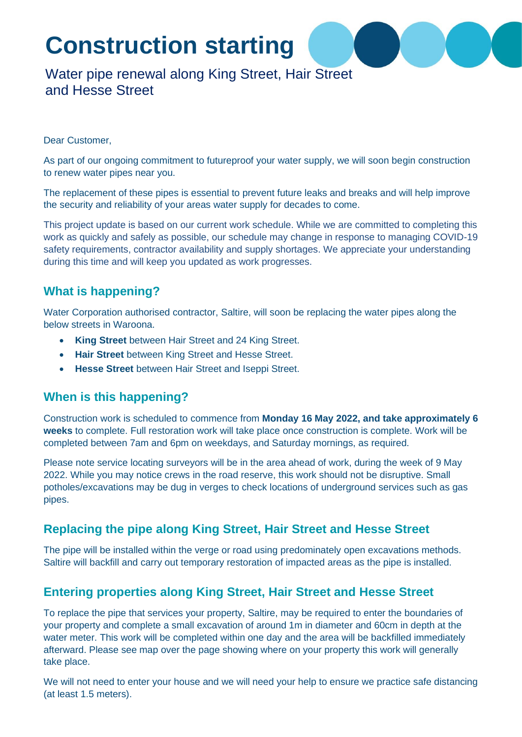# **Construction starting**

# Water pipe renewal along King Street, Hair Street and Hesse Street

#### Dear Customer,

As part of our ongoing commitment to futureproof your water supply, we will soon begin construction to renew water pipes near you.

The replacement of these pipes is essential to prevent future leaks and breaks and will help improve the security and reliability of your areas water supply for decades to come.

This project update is based on our current work schedule. While we are committed to completing this work as quickly and safely as possible, our schedule may change in response to managing COVID-19 safety requirements, contractor availability and supply shortages. We appreciate your understanding during this time and will keep you updated as work progresses.

#### **What is happening?**

Water Corporation authorised contractor, Saltire, will soon be replacing the water pipes along the below streets in Waroona.

- **King Street** between Hair Street and 24 King Street.
- **Hair Street** between King Street and Hesse Street.
- **Hesse Street** between Hair Street and Iseppi Street.

#### **When is this happening?**

Construction work is scheduled to commence from **Monday 16 May 2022, and take approximately 6 weeks** to complete. Full restoration work will take place once construction is complete. Work will be completed between 7am and 6pm on weekdays, and Saturday mornings, as required.

Please note service locating surveyors will be in the area ahead of work, during the week of 9 May 2022. While you may notice crews in the road reserve, this work should not be disruptive. Small potholes/excavations may be dug in verges to check locations of underground services such as gas pipes.

#### **Replacing the pipe along King Street, Hair Street and Hesse Street**

The pipe will be installed within the verge or road using predominately open excavations methods. Saltire will backfill and carry out temporary restoration of impacted areas as the pipe is installed.

#### **Entering properties along King Street, Hair Street and Hesse Street**

To replace the pipe that services your property, Saltire, may be required to enter the boundaries of your property and complete a small excavation of around 1m in diameter and 60cm in depth at the water meter. This work will be completed within one day and the area will be backfilled immediately afterward. Please see map over the page showing where on your property this work will generally take place.

We will not need to enter your house and we will need your help to ensure we practice safe distancing (at least 1.5 meters).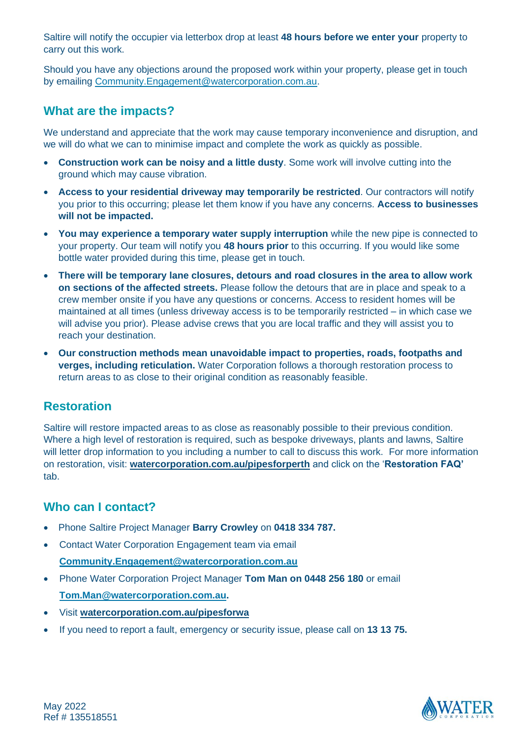Saltire will notify the occupier via letterbox drop at least **48 hours before we enter your** property to carry out this work.

Should you have any objections around the proposed work within your property, please get in touch by emailing Community.Engagement@watercorporation.com.au.

#### **What are the impacts?**

We understand and appreciate that the work may cause temporary inconvenience and disruption, and we will do what we can to minimise impact and complete the work as quickly as possible.

- **Construction work can be noisy and a little dusty**. Some work will involve cutting into the ground which may cause vibration.
- **Access to your residential driveway may temporarily be restricted**. Our contractors will notify you prior to this occurring; please let them know if you have any concerns. **Access to businesses will not be impacted.**
- **You may experience a temporary water supply interruption** while the new pipe is connected to your property. Our team will notify you **48 hours prior** to this occurring. If you would like some bottle water provided during this time, please get in touch.
- **There will be temporary lane closures, detours and road closures in the area to allow work on sections of the affected streets.** Please follow the detours that are in place and speak to a crew member onsite if you have any questions or concerns. Access to resident homes will be maintained at all times (unless driveway access is to be temporarily restricted – in which case we will advise you prior). Please advise crews that you are local traffic and they will assist you to reach your destination.
- **Our construction methods mean unavoidable impact to properties, roads, footpaths and verges, including reticulation.** Water Corporation follows a thorough restoration process to return areas to as close to their original condition as reasonably feasible.

#### **Restoration**

Saltire will restore impacted areas to as close as reasonably possible to their previous condition. Where a high level of restoration is required, such as bespoke driveways, plants and lawns, Saltire will letter drop information to you including a number to call to discuss this work. For more information on restoration, visit: **watercorporation.com.au/pipesforperth** and click on the '**Restoration FAQ'** tab.

### **Who can I contact?**

- Phone Saltire Project Manager **Barry Crowley** on **0418 334 787.**
- Contact Water Corporation Engagement team via email **Community.Engagement@watercorporation.com.au**
- Phone Water Corporation Project Manager **Tom Man on 0448 256 180** or email **Tom.Man@watercorporation.com.au.**
- Visit **watercorporation.com.au/pipesforwa**
- If you need to report a fault, emergency or security issue, please call on **13 13 75.**